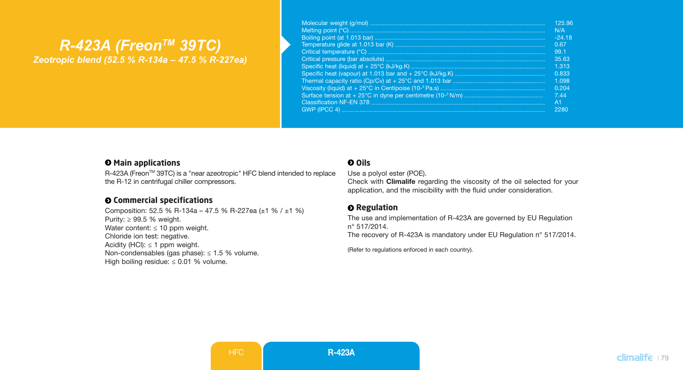# *R-423A (FreonTM 39TC) Zeotropic blend (52.5 % R-134a – 47.5 % R-227ea)*

| 125.96  |
|---------|
| N/A     |
| $-2418$ |
| 0.67    |
| 99.1    |
| 35.63   |
| 1.313   |
| 0.833   |
| 1.098   |
| 0.204   |
| 744     |
| A1      |
| 2280    |

#### $\Theta$  Main applications

R-423A (Freon™ 39TC) is a "near azeotropic" HFC blend intended to replace the R-12 in centrifugal chiller compressors.

### **Commercial specifications**

Composition: 52.5 % R-134a – 47.5 % R-227ea (±1 % / ±1 %) Purity: ≥ 99.5 % weight. Water content:  $\leq 10$  ppm weight. Chloride ion test: negative. Acidity (HCl):  $\leq$  1 ppm weight. Non-condensables (gas phase): ≤ 1.5 % volume. High boiling residue: ≤ 0.01 % volume.

#### **Oils**

Use a polyol ester (POE). Check with Climalife regarding the viscosity of the oil selected for your application, and the miscibility with the fluid under consideration.

#### **Q** Regulation

The use and implementation of R-423A are governed by EU Regulation n° 517/2014. The recovery of R-423A is mandatory under EU Regulation n° 517/2014.

(Refer to regulations enforced in each country)*.*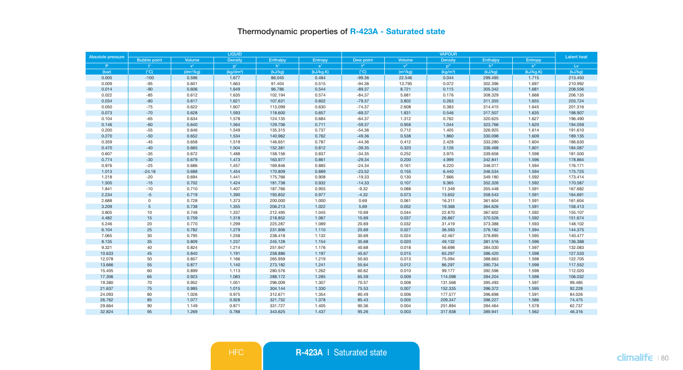## Thermodynamic properties of R-423A - Saturated state

| Absolute pressure |                           |                       | <b>LIQUID</b>         |                 |           |                  | <b>Latent heat</b>   |                      |          |           |         |
|-------------------|---------------------------|-----------------------|-----------------------|-----------------|-----------|------------------|----------------------|----------------------|----------|-----------|---------|
|                   | <b>Bubble point</b>       | Volume                | Density               | <b>Enthalpy</b> | Entropy   | Dew point        | Volume               | Density              | Enthalpy | Entropy   |         |
| P.                | $\mathbf{f}^{\mathbf{r}}$ | ${\bf v}^{\rm t}$     | $p^+$                 | h'              | $s^*$     | $+$ <sup>n</sup> | v <sup>0</sup>       | p <sup>ii</sup>      | h"       | $s$ "     | Lv.     |
| (bar)             | $(^{\circ}C)$             | (dm <sup>3</sup> /kq) | (kg/dm <sup>3</sup> ) | (kJ/kg)         | (kJ/kg.K) | $(^{\circ}C)$    | (m <sup>3</sup> /kq) | (kq/m <sup>3</sup> ) | (kJ/kg)  | (kJ/kg.K) | (kJ/kg) |
| 0.005             | $-100$                    | 0.596                 | 1.677                 | 86.045          | 0.484     | $-99.36$         | 22.546               | 0.044                | 299.495  | 1.715     | 213.450 |
| 0.009             | $-95$                     | 0.601                 | 1.663                 | 91.404          | 0.515     | $-94.36$         | 13.795               | 0.072                | 302.396  | 1.697     | 210.992 |
| 0.014             | $-90$                     | 0.606                 | 1.649                 | 96,786          | 0.544     | $-89.37$         | 8.721                | 0.115                | 305.342  | 1.681     | 208.556 |
| 0.022             | $-85$                     | 0.612                 | 1.635                 | 102.194         | 0.574     | $-84.37$         | 5.681                | 0.176                | 308.329  | 1.668     | 206.135 |
| 0.034             | $-80$                     | 0.617                 | 1.621                 | 107.631         | 0.602     | $-79.37$         | 3.802                | 0.263                | 311.355  | 1.655     | 203.724 |
| 0.050             | $-75$                     | 0.622                 | 1.607                 | 113,099         | 0.630     | $-74.37$         | 2,608                | 0.383                | 314.415  | 1.645     | 201.316 |
| 0.073             | $-70$                     | 0.628                 | 1.593                 | 118.600         | 0.657     | $-69.37$         | 1.831                | 0.546                | 317.507  | 1.635     | 198.907 |
| 0.104             | $-65$                     | 0.634                 | 1.578                 | 124.135         | 0.684     | $-64.37$         | 1.312                | 0.762                | 320.625  | 1.627     | 196.490 |
| 0.146             | $-60$                     | 0.640                 | 1.564                 | 129.706         | 0.711     | $-59.37$         | 0.958                | 1.044                | 323.766  | 1.620     | 194.059 |
| 0.200             | $-55$                     | 0.646                 | 1.549                 | 135.315         | 0.737     | $-54.36$         | 0.712                | 1.405                | 326.925  | 1.614     | 191.610 |
| 0.270             | $-50$                     | 0.652                 | 1.534                 | 140.962         | 0.762     | $-49.36$         | 0.538                | 1.860                | 330.098  | 1.609     | 189.135 |
| 0.359             | $-45$                     | 0.658                 | 1.519                 | 146.651         | 0.787     | $-44.36$         | 0.412                | 2.428                | 333.280  | 1.604     | 186.630 |
| 0.470             | $-40$                     | 0.665                 | 1.504                 | 152,381         | 0.812     | $-39.35$         | 0.320                | 3.126                | 336.468  | 1.601     | 184.087 |
| 0.607             | $-35$                     | 0.672                 | 1.488                 | 158.156         | 0.837     | $-34.35$         | 0.252                | 3.975                | 339.656  | 1.598     | 181.500 |
| 0.774             | $-30$                     | 0.679                 | 1.473                 | 163.977         | 0.861     | $-29.34$         | 0.200                | 4.999                | 342.841  | 1.596     | 178.864 |
| 0.976             | $-25$                     | 0.686                 | 1.457                 | 169.846         | 0.885     | $-24.34$         | 0.161                | 6.220                | 346.017  | 1.594     | 176.171 |
| 1.013             | $-24.18$                  | 0.688                 | 1.454                 | 170.809         | 0.889     | $-23.52$         | 0.155                | 6.440                | 346.534  | 1.594     | 175.725 |
| 1.218             | $-20$                     | 0.694                 | 1.441                 | 175.766         | 0.908     | $-19.33$         | 0.130                | 7.666                | 349.180  | 1.592     | 173.414 |
| 1.505             | $-15$                     | 0.702                 | 1.424                 | 181.738         | 0.932     | $-14.33$         | 0.107                | 9.365                | 352,326  | 1.592     | 170,587 |
| 1.841             | $-10$                     | 0.710                 | 1.407                 | 187.766         | 0.955     | $-9.32$          | 0.088                | 11.349               | 355.448  | 1.591     | 167.682 |
| 2.234             | $-5$                      | 0.719                 | 1.390                 | 193.852         | 0.977     | $-4.32$          | 0.073                | 13.652               | 358.543  | 1.591     | 164.691 |
| 2.688             | $\circ$                   | 0.728                 | 1.373                 | 200.000         | 1.000     | 0.69             | 0.061                | 16.311               | 361.604  | 1.591     | 161,604 |
| 3.209             | $\sqrt{5}$                | 0.738                 | 1.355                 | 206.213         | 1.022     | 5.69             | 0.052                | 19.368               | 364.626  | 1.591     | 158.413 |
| 3.805             | 10                        | 0.748                 | 1.337                 | 212.495         | 1.045     | 10.69            | 0.044                | 22.870               | 367.602  | 1.592     | 155.107 |
| 4.482             | 15                        | 0.759                 | 1.318                 | 218.852         | 1.067     | 15.69            | 0.037                | 26.867               | 370.526  | 1.592     | 151.674 |
| 5.246             | 20                        | 0.770                 | 1.299                 | 225.287         | 1.089     | 20.69            | 0.032                | 31.419               | 373.388  | 1.593     | 148.102 |
| 6.104             | 25                        | 0.782                 | 1.279                 | 231.806         | 1.110     | 25.69            | 0.027                | 36.593               | 376.182  | 1.594     | 144.375 |
| 7.065             | 30                        | 0.795                 | 1.258                 | 238,418         | 1.132     | 30.69            | 0.024                | 42,467               | 378.895  | 1.595     | 140,477 |
| 8.135             | 35                        | 0.809                 | 1.237                 | 245.128         | 1.154     | 35.68            | 0.020                | 49.132               | 381.516  | 1.596     | 136.388 |
| 9.321             | 40                        | 0.824                 | 1.214                 | 251.947         | 1.176     | 40.68            | 0.018                | 56.698               | 384.030  | 1.597     | 132.083 |
| 10.633            | 45                        | 0.840                 | 1.191                 | 258.886         | 1.197     | 45.67            | 0.015                | 65.297               | 386.420  | 1.598     | 127.533 |
| 12.078            | 50                        | 0.857                 | 1.166                 | 265.959         | 1.219     | 50.65            | 0.013                | 75.094               | 388.663  | 1.598     | 122.705 |
| 13.666            | 55                        | 0.877                 | 1.140                 | 273.182         | 1.241     | 55.64            | 0.012                | 86.297               | 390.734  | 1.598     | 117,552 |
| 15.405            | 60                        | 0.899                 | 1.113                 | 280.576         | 1.262     | 60.62            | 0.010                | 99.177               | 392.596  | 1.598     | 112.020 |
| 17.306            | 65                        | 0.923                 | 1.083                 | 288.172         | 1.285     | 65.59            | 0.009                | 114.098              | 394.204  | 1.598     | 106.032 |
| 19.380            | 70                        | 0.952                 | 1.051                 | 296.009         | 1.307     | 70.57            | 0.008                | 131.568              | 395.493  | 1.597     | 99.485  |
| 21.637            | 75                        | 0.985                 | 1.015                 | 304.144         | 1.330     | 75.53            | 0.007                | 152.335              | 396.372  | 1.595     | 92.228  |
| 24.093            | 80                        | 1.026                 | 0.975                 | 312.671         | 1.354     | 80.49            | 0.006                | 177.577              | 396.698  | 1.591     | 84.026  |
| 26.762            | 85                        | 1.077                 | 0.928                 | 321.752         | 1.378     | 85.43            | 0.005                | 209.347              | 396.227  | 1.586     | 74.475  |
| 29.664            | 90                        | 1.149                 | 0.871                 | 331.727         | 1.405     | 90.36            | 0.004                | 251.894              | 394.464  | 1.578     | 62.737  |
| 32.824            | 95                        | 1.269                 | 0.788                 | 343.625         | 1.437     | 95.26            | 0.003                | 317.938              | 389.941  | 1.562     | 46.316  |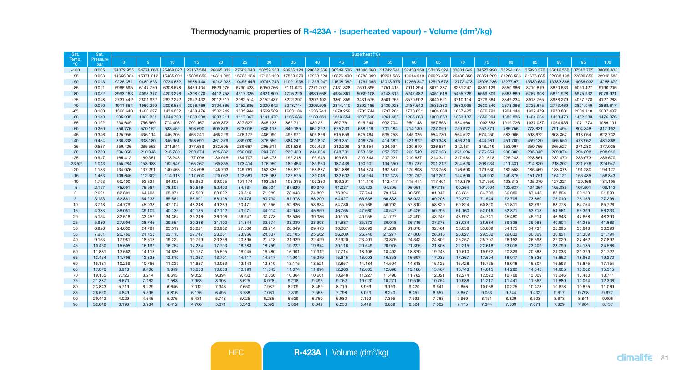| Sat                   | Sat.            | Superheat (°C) |                |           |           |           |           |           |           |           |           |                     |           |           |           |           |           |           |           |           |           |           |
|-----------------------|-----------------|----------------|----------------|-----------|-----------|-----------|-----------|-----------|-----------|-----------|-----------|---------------------|-----------|-----------|-----------|-----------|-----------|-----------|-----------|-----------|-----------|-----------|
| Temp.<br>$^{\circ}$ C | Pressure<br>har | $\Omega$       | 5 <sup>1</sup> | 10        | 15        | 20        | 25        | 30        | 35        | 40        | 45        | 50                  | 55        | 60        | 65        | 70        | 75        | 80        | 85        | 90        | 95        | 100       |
| $-100$                | 0.005           | 24072.955      | 24771.663      | 25469.827 | 26167.584 | 26865.032 | 27562,240 | 28259.258 | 28956.124 | 29652,866 |           | 30349.506 31046.060 | 31742.541 | 32438.959 | 33135.324 | 33831.642 | 34527,920 | 35224.161 | 35920.370 | 36616,550 | 37312.705 | 38008.838 |
| $-95$                 | 0.008           | 14656.924      | 15071.212      | 15485.091 | 15898.659 | 16311.986 | 16725.124 | 17138.109 | 17550.970 | 17963.728 | 18376,400 | 18788.999           | 19201.536 | 19614.019 | 20026.455 | 20438.850 | 20851.209 | 21263.536 | 21675.835 | 22088.108 | 22500.359 | 22912.588 |
| $-90$                 | 0.013           | 9226.351       | 9480.673       | 9734.682  | 9988,448  | 10242.023 | 10495.445 | 10748.743 | 11001.938 | 11255.047 | 11508.082 | 11761.055           | 12013.975 | 12266.847 | 12519.678 | 12772.473 | 13025.236 | 13277.971 | 13530.680 | 13783.366 | 14036.032 | 14288.679 |
| $-85$                 | 0.021           | 5986.595       | 6147.759       | 6308.678  | 6469.404  | 6629.976  | 6790.423  | 6950.766  | 7111.023  | 7271.207  | 7431.328  | 7591.395            | 7751.415  | 7911.394  | 8071.337  | 8231.247  | 8391.129  | 8550.986  | 8710.819  | 8870.633  | 9030.427  | 9190.205  |
| $-80$                 | 0.032           | 3993.163       | 4098.317       | 4203.276  | 4308.078  | 4412,753  | 4517.325  | 4621.809  | 4726.220  | 4830.568  | 4934.861  | 5039.108            | 5143.313  | 5247.482  | 5351,618  | 5455.726  | 5559.809  | 5663.869  | 5767,908  | 5871.928  | 5975.932  | 6079.921  |
| $-75$                 | 0.048           | 2731.442       | 2801.922       | 2872.242  | 2942.432  | 3012.517  | 3082.514  | 3152.437  | 3222.297  | 3292.102  | 3361.859  | 3431.575            | 3501.255  | 3570.902  | 3640.521  | 3710.114  | 3779.684  | 3849.234  | 3918.765  | 3988.279  | 4057.778  | 4127.263  |
| $-70$                 | 0.070           | 1911.864       | 1960.290       | 2008.584  | 2056.769  | 2104.865  | 2152.886  | 2200.842  | 2248.744  | 2296,598  | 2344,410  | 2392.185            | 2439.928  | 2487.642  | 2535.330  | 2582.996  | 2630.640  | 2678,266  | 2725,875  | 2773.469  | 2821.049  | 2868,617  |
| $-65$                 | 0.100           | 1366.648       | 1400.697       | 1434.632  | 1468.476  | 1502.242  | 1535.944  | 1569.589  | 1603.186  | 1636.741  | 1670.259  | 1703.744            | 1737.201  | 1770.631  | 1804.038  | 1837.425  | 1870.793  | 1904.144  | 1937.479  | 1970.801  | 2004.110  | 2037.407  |
| $-60$                 | 0.140           | 995.905        | 1020.361       | 1044.720  | 1068.999  | 1093.211  | 1117.367  | 1141.472  | 1165.536  | 1189.561  | 1213.554  | 1237.518            | 1261.455  | 1285.369  | 1309.263  | 1333.137  | 1356.994  | 1380.836  | 1404.664  | 1428.479  | 1452.283  | 1476.076  |
| $-55$                 | 0.192           | 738,649        | 756,569        | 774,403   | 792.167   | 809,872   | 827.527   | 845.138   | 862.711   | 880,251   | 897.761   | 915.244             | 932.704   | 950.143   | 967.563   | 984.966   | 1002.353  | 1019.726  | 1037.087  | 1054.435  | 1071.773  | 1089.101  |
| $-50$                 | 0.260           | 556.776        | 570.152        | 583.452   | 596.690   | 609.876   | 623.016   | 636.118   | 649.185   | 662.222   | 675.233   | 688.219             | 701.184   | 714.130   | 727.059   | 739.972   | 752.871   | 765.756   | 778.631   | 791.494   | 804.348   | 817.192   |
| $-45$                 | 0.346           | 425.955        | 436.114        | 446.205   | 456.241   | 466.229   | 476.177   | 486.090   | 495.971   | 505,826   | 515,656   | 525.464             | 535.253   | 545.025   | 554.780   | 564.522   | 574.250   | 583,966   | 593,672   | 603.367   | 613.054   | 622.732   |
| $-40$                 | 0.454           | 330.338        | 338.180        | 345.961   | 353.691   | 361,379   | 369,030   | 376,650   | 384.241   | 391,807   | 399.351   | 406.875             | 414.382   | 421.872   | 429.348   | 436,810   | 444.261   | 451.700   | 459,130   | 466,550   | 473.962   | 481.366   |
| $-35$                 | 0.587           | 259,406        | 265.553        | 271.644   | 277,689   | 283.695   | 289.667   | 295.611   | 301.528   | 307.423   | 313,298   | 319.154             | 324.994   | 330,819   | 336,631   | 342.431   | 348,219   | 353.997   | 359,766   | 365,527   | 371,280   | 377,025   |
| $-30$                 | 0.750           | 206.056        | 210.943        | 215,780   | 220.574   | 225.332   | 230,060   | 234,760   | 239,438   | 244.094   | 248.731   | 253.352             | 257,957   | 262,549   | 267,128   | 271.696   | 276.254   | 280,802   | 285,342   | 289,874   | 294.398   | 298,916   |
| $-25$                 | 0.947           | 165,412        | 169.351        | 173,243   | 177,096   | 180,915   | 184.707   | 188,473   | 192.218   | 195,943   | 199.651   | 203.343             | 207.021   | 210,687   | 214,341   | 217,984   | 221.618   | 225.243   | 228,861   | 232.470   | 236,073   | 239,670   |
| $-23.52$              | 1.013           | 155.284        | 158,988        | 162.647   | 166.267   | 169,855   | 173,414   | 176,950   | 180.464   | 183,960   | 187,438   | 190,901             | 194,350   | 197.787   | 201.212   | 204.628   | 208.034   | 211.431   | 214,820   | 218,202   | 221.578   | 224,947   |
| $-20$                 | 1.183           | 134,076        | 137.291        | 140.463   | 143,598   | 146.703   | 149.781   | 152,836   | 155.871   | 158,887   | 161.888   | 164,874             | 167.847   | 170,808   | 173,758   | 176,698   | 179,630   | 182,553   | 185.469   | 188,378   | 191.280   | 194.177   |
| $-15$                 | 1.463           | 109.645        | 112,302        | 114,918   | 117,500   | 120.053   | 122.581   | 125,088   | 127.575   | 130.046   | 132.502   | 134,944             | 137,373   | 139,792   | 142.201   | 144,600   | 146.992   | 149,375   | 151.751   | 154.121   | 156,485   | 158,843   |
| $-10$                 | 1.793           | 90.400         | 92.621         | 94.803    | 96.952    | 99.075    | 101.174   | 103.254   | 105.315   | 107.360   | 109.391   | 111.410             | 113,417   | 115,414   | 117,401   | 119.379   | 121.350   | 123.313   | 125.270   | 127.221   | 129.166   | 131.105   |
| $-5$                  | 2.177           | 75.091         | 76,967         | 78,807    | 80.616    | 82,400    | 84.161    | 85,904    | 87.629    | 89.340    | 91.037    | 92.722              | 94.396    | 96,061    | 97.716    | 99.364    | 101.004   | 102.637   | 104.264   | 105,885   | 107.501   | 109.112   |
| $\Omega$              | 2.621           | 62.801         | 64.403         | 65.971    | 67,509    | 69.022    | 70.515    | 71.989    | 73.448    | 74.892    | 76.324    | 77.744              | 79.154    | 80.555    | 81.947    | 83.331    | 84.709    | 86,080    | 87.445    | 88.804    | 90.159    | 91.509    |
| $\overline{5}$        | 3.133           | 52.851         | 54,233         | 55,581    | 56,901    | 58.198    | 59.475    | 60.734    | 61,978    | 63.209    | 64,427    | 65.635              | 66.833    | 68.022    | 69.203    | 70.377    | 71,544    | 72,705    | 73,860    | 75,010    | 76.155    | 77,296    |
| 10                    | 3.718           | 44.729         | 45.933         | 47.104    | 48.248    | 49.369    | 50.471    | 51.556    | 52.626    | 53.684    | 54,730    | 55,766              | 56.792    | 57,810    | 58.820    | 59.824    | 60,820    | 61.811    | 62.797    | 63,778    | 64.754    | 65.726    |
| 15                    | 4.383           | 38.051         | 39.109         | 40.135    | 41.135    | 42.112    | 43.071    | 44.014    | 44.943    | 45.859    | 46.765    | 47,660              | 48.547    | 49.425    | 50.296    | 51.160    | 52.018    | 52.871    | 53.718    | 54,561    | 55,399    | 56,233    |
| 20                    | 5.134           | 32.518         | 33.457         | 34,364    | 35.246    | 36,106    | 36.947    | 37,773    | 38,586    | 39.386    | 40.175    | 40.955              | 41.727    | 42,490    | 43.247    | 43.997    | 44.741    | 45.480    | 46.214    | 46.943    | 47.668    | 48.390    |
| 25                    | 5.980           | 27,904         | 28,745         | 29,554    | 30,338    | 31,100    | 31,844    | 32,574    | 33.289    | 33.993    | 34,687    | 35,372              | 36.048    | 36,716    | 37,378    | 38.034    | 38,684    | 39.328    | 39.968    | 40.604    | 41.235    | 41.863    |
| 30                    | 6.926           | 24.032         | 24.791         | 25.519    | 26.221    | 26,902    | 27.566    | 28,214    | 28.849    | 29.473    | 30.087    | 30.692              | 31.289    | 31,878    | 32.461    | 33.038    | 33,609    | 34.175    | 34.737    | 35.295    | 35,848    | 36.398    |
| 35                    | 7.981           | 20.760         | 21.453         | 22.113    | 22.747    | 23.361    | 23.956    | 24.537    | 25.105    | 25.662    | 26.209    | 26.746              | 27.277    | 27.800    | 28.316    | 28.827    | 29.332    | 29.833    | 30.329    | 30.821    | 31.309    | 31.794    |
| 40                    | 9.153           | 17.981         | 18.618         | 19.222    | 19.799    | 20.356    | 20.895    | 21.418    | 21.929    | 22,429    | 22,920    | 23,401              | 23.875    | 24.342    | 24.802    | 25.257    | 25.707    | 26.152    | 26.593    | 27.029    | 27,462    | 27.892    |
| 45                    | 10,450          | 15,605         | 16.197         | 16,754    | 17.284    | 17,793    | 18.283    | 18.759    | 19.222    | 19.674    | 20.116    | 20.549              | 20.976    | 21.395    | 21.808    | 22.215    | 22,618    | 23.016    | 23.409    | 23.799    | 24.185    | 24.568    |
| 50                    | 11,881          | 13,562         | 14.118         | 14,636    | 15.127    | 15.595    | 16.045    | 16,480    | 16.901    | 17.312    | 17.714    | 18,106              | 18,492    | 18,870    | 19.243    | 19,610    | 19,972    | 20.329    | 20.683    | 21.033    | 21,379    | 21.722    |
| 55                    | 13.454          | 11.796         | 12.323         | 12,810    | 13.267    | 13,701    | 14.117    | 14,517    | 14.904    | 15.279    | 15,645    | 16,003              | 16.353    | 16,697    | 17,035    | 17.367    | 17.694    | 18.017    | 18.336    | 18.652    | 18.963    | 19.272    |
| 60                    | 15.181          | 10.259         | 10.766         | 11,227    | 11.657    | 12.063    | 12,448    | 12,819    | 13.175    | 13.521    | 13,857    | 14.184              | 14.504    | 14,818    | 15.125    | 15.428    | 15.725    | 16,018    | 16.307    | 16.593    | 16.875    | 17.154    |
| 65                    | 17,070          | 8.913          | 9.406          | 9,849     | 10.256    | 10.638    | 10.999    | 11.343    | 11.674    | 11.994    | 12.303    | 12,605              | 12.898    | 13.186    | 13.467    | 13.743    | 14.015    | 14.282    | 14.545    | 14,805    | 15.062    | 15.315    |
| 70                    | 19.135          | 7.726          | 8.214          | 8.643     | 9.032     | 9.394     | 9.733     | 10.056    | 10.364    | 10.661    | 10.948    | 11.227              | 11.498    | 11.762    | 12.021    | 12.274    | 12,523    | 12.768    | 13,009    | 13.246    | 13.480    | 13.711    |
| 75                    | 21.387          | 6.670          | 7.162          | 7.583     | 7.958     | 8.303     | 8.625     | 8.928     | 9.218     | 9.495     | 9.762     | 10.020              | 10.271    | 10.516    | 10.754    | 10.988    | 11.217    | 11.441    | 11.662    | 11.880    | 12.094    | 12.306    |
| 80                    | 23,843          | 5.719          | 6.229          | 6.646     | 7.012     | 7.343     | 7.650     | 7.937     | 8.209     | 8.469     | 8.719     | 8.959               | 9.193     | 9.420     | 9.641     | 9.856     | 10.068    | 10.275    | 10.478    | 10.678    | 10,875    | 11.069    |
| 85                    | 26,520          | 4,849          | 5.395          | 5.816     | 6.175     | 6.495     | 6.788     | 7.061     | 7.319     | 7.563     | 7.798     | 8.023               | 8.240     | 8.451     | 8.657     | 8.857     | 9.053     | 9.244     | 9.432     | 9.617     | 9.798     | 9.977     |
| 90                    | 29.442          | 4.029          | 4.645          | 5.076     | 5.431     | 5.743     | 6.025     | 6.285     | 6,529     | 6.760     | 6,980     | 7.192               | 7.395     | 7.592     | 7.783     | 7.969     | 8.151     | 8.329     | 8,503     | 8.673     | 8.841     | 9,006     |
| 95                    | 32,646          | 3.193          | 3.964          | 4.412     | 4.766     | 5.071     | 5.343     | 5.592     | 5.824     | 6.042     | 6.250     | 6.449               | 6.639     | 6.824     | 7.002     | 7.175     | 7.344     | 7.509     | 7.671     | 7.829     | 7.984     | 8.137     |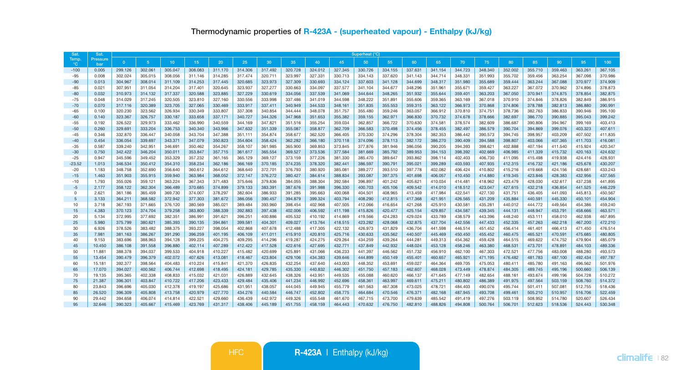| Sat         | Sat.            | Superheat (°C) |                |         |         |         |         |         |         |         |         |         |         |         |         |         |         |         |         |         |         |         |
|-------------|-----------------|----------------|----------------|---------|---------|---------|---------|---------|---------|---------|---------|---------|---------|---------|---------|---------|---------|---------|---------|---------|---------|---------|
| Temp.<br>°С | Pressure<br>bar | $\Omega$       | 5 <sup>1</sup> | 10      | 15      | 20      | 25      | 30      | 35      | 40      | 45      | 50      | 55      | 60      | 65      | 70      | 75      | 80      | 85      | 90      | 95      | 100     |
| $-100$      | 0.005           | 299.126        | 302.061        | 305.047 | 308.083 | 311.170 | 314.306 | 317.492 | 320.728 | 324.012 | 327.345 | 330.726 | 334.155 | 337.631 | 341.154 | 344.723 | 348,340 | 352.002 | 355.710 | 359.463 | 363,261 | 367,105 |
| $-95$       | 0.008           | 302.024        | 305.015        | 308,056 | 311.146 | 314,285 | 317.474 | 320.711 | 323.997 | 327.331 | 330.713 | 334.143 | 337.620 | 341.143 | 344,714 | 348,331 | 351.993 | 355,702 | 359,456 | 363.254 | 367,098 | 370,986 |
| $-90$       | 0.013           | 304.967        | 308.014        | 311.109 | 314.253 | 317.445 | 320.685 | 323.973 | 327.309 | 330.693 | 334.124 | 337.603 | 341.128 | 344.699 | 348.317 | 351.980 | 355.689 | 359.444 | 363.244 | 367.088 | 370.977 | 374.909 |
| $-85$       | 0.021           | 307.951        | 311.054        | 314.204 | 317.401 | 320.645 | 323.937 | 327,277 | 330.663 | 334.097 | 337.577 | 341.104 | 344.677 | 348,296 | 351.961 | 355,671 | 359.427 | 363,227 | 367.072 | 370.962 | 374,896 | 378,873 |
| $-80$       | 0.032           | 310.973        | 314.132        | 317.337 | 320.588 | 323.885 | 327.229 | 330.619 | 334.056 | 337.539 | 341.069 | 344.644 | 348.265 | 351.932 | 355.644 | 359.401 | 363.203 | 367.050 | 370.941 | 374,875 | 378.854 | 382.875 |
| $-75$       | 0.048           | 314.029        | 317,245        | 320,505 | 323.810 | 327.160 | 330,556 | 333,998 | 337.486 | 341.019 | 344,598 | 348.222 | 351.891 | 355,606 | 359,365 | 363.169 | 367,018 | 370,910 | 374,846 | 378,826 | 382,849 | 386,915 |
| $-70$       | 0.070           | 317.116        | 320.389        | 323,705 | 327.065 | 330.469 | 333.917 | 337.411 | 340.949 | 344,533 | 348.161 | 351.835 | 355,553 | 359.315 | 363.122 | 366.973 | 370,868 | 374.806 | 378.788 | 382.813 | 386,880 | 390.991 |
| $-65$       | 0.100           | 320.230        | 323.562        | 326.934 | 330.349 | 333,807 | 337,308 | 340.854 | 344,444 | 348,078 | 351.757 | 355.480 | 359.246 | 363.057 | 366.912 | 370,810 | 374.751 | 378,736 | 382.763 | 386,833 | 390.946 | 395.100 |
| $-60$       | 0.140           | 323.367        | 326.757        | 330.187 | 333.658 | 337.171 | 340.727 | 344.326 | 347,968 | 351,653 | 355.382 | 359.155 | 362.971 | 366.830 | 370.732 | 374,678 | 378,666 | 382.697 | 386.770 | 390.885 | 395.043 | 399,242 |
| $-55$       | 0.192           | 326.522        | 329,973        | 333.462 | 336,990 | 340,559 | 344.169 | 347.821 | 351.516 | 355,254 | 359.034 | 362.857 | 366,722 | 370,630 | 374.581 | 378,574 | 382,609 | 386,687 | 390,806 | 394.967 | 399.169 | 403.413 |
| $-50$       | 0.260           | 329.691        | 333.204        | 336,753 | 340.340 | 343.966 | 347.632 | 351.339 | 355,087 | 358,877 | 362,709 | 366,583 | 370,498 | 374,456 | 378,455 | 382,497 | 386,579 | 390.704 | 394.869 | 399.076 | 403.323 | 407.611 |
| $-45$       | 0.346           | 332,870        | 336,447        | 340.058 | 343,704 | 347,388 | 351.111 | 354,874 | 358,677 | 362,520 | 366,405 | 370,330 | 374.296 | 378,304 | 382,353 | 386,442 | 390.573 | 394.745 | 398,957 | 403.209 | 407.502 | 411.835 |
| $-40$       | 0.454           | 336.054        | 339,697        | 343.371 | 347,079 | 350,823 | 354,604 | 358,424 | 362,282 | 366,180 | 370.118 | 374.096 | 378,113 | 382.172 | 386,270 | 390,409 | 394,588 | 398,807 | 403.066 | 407.365 | 411,703 | 416.081 |
| $-35$       | 0.587           | 339.240        | 342.951        | 346.691 | 350.462 | 354.267 | 358,107 | 361.985 | 365,900 | 369,853 | 373,845 | 377,876 | 381.946 | 386.056 | 390,205 | 394.393 | 398.621 | 402.888 | 407.194 | 411.540 | 415.924 | 420.347 |
| $-30$       | 0.750           | 342.422        | 346,204        | 350.011 | 353.847 | 357,715 | 361.617 | 365,554 | 369,527 | 373,536 | 377,584 | 381.669 | 385,792 | 389,953 | 394.153 | 398,392 | 402.669 | 406.985 | 411.339 | 415.732 | 420.163 | 424,632 |
| $-25$       | 0.947           | 345.596        | 349.452        | 353,329 | 357.232 | 361.165 | 365.129 | 369.127 | 373.159 | 377,226 | 381.330 | 385.470 | 389.647 | 393.862 | 398.114 | 402.403 | 406.730 | 411.095 | 415.498 | 419,938 | 424.416 | 428.931 |
| $-23.52$    | 1.013           | 346,534        | 350.412        | 354,310 | 358.234 | 362.186 | 366.169 | 370.185 | 374.235 | 378,320 | 382.441 | 386.597 | 390.791 | 395.021 | 399.289 | 403.593 | 407.935 | 412.315 | 416,732 | 421.186 | 425.678 | 430.207 |
| $-20$       | 1.183           | 348.758        | 352,690        | 356,640 | 360.612 | 364.612 | 368,640 | 372,701 | 376.793 | 380,920 | 385.081 | 389.277 | 393,510 | 397,778 | 402.082 | 406,424 | 410.802 | 415,216 | 419.668 | 424.156 | 428.681 | 433.243 |
| $-15$       | 1.463           | 351.903        | 355,915        | 359,940 | 363.984 | 368.052 | 372.147 | 376,272 | 380,427 | 384.614 | 388,834 | 393.087 | 397.375 | 401.698 | 406.057 | 410,450 | 414,880 | 419,345 | 423.846 | 428.383 | 432.956 | 437.565 |
| $-10$       | 1.793           | 355.026        | 359.121        | 363.224 | 367.343 | 371.483 | 375.646 | 379,836 | 384.055 | 388,304 | 392.584 | 396.897 | 401.242 | 405.621 | 410.034 | 414,481 | 418.962 | 423.479 | 428,030 | 432.617 | 437.238 | 441.895 |
| $-5$        | 2.177           | 358.122        | 362.304        | 366,489 | 370.685 | 374,899 | 379.133 | 383.391 | 387.676 | 391,988 | 396,330 | 400.703 | 405.106 | 409.542 | 414,010 | 418.512 | 423.047 | 427.615 | 432.218 | 436.854 | 441.525 | 446.229 |
| $\Omega$    | 2.621           | 361.186        | 365.459        | 369.730 | 374.007 | 378,297 | 382,604 | 386,933 | 391.285 | 395.663 | 400.068 | 404.501 | 408.965 | 413,459 | 417.984 | 422.541 | 427.130 | 431.751 | 436,405 | 441.093 | 445.813 | 450.567 |
| 5           | 3.133           | 364.211        | 368,582        | 372.942 | 377.303 | 381.672 | 386,056 | 390.457 | 394.879 | 399.324 | 403.794 | 408.290 | 412.815 | 417.368 | 421.951 | 426.565 | 431.209 | 435.884 | 440.591 | 445,330 | 450,101 | 454,904 |
| 10          | 3.718           | 367.193        | 371.665        | 376.120 | 380.569 | 385.021 | 389,484 | 393.960 | 398,454 | 402.968 | 407.505 | 412.066 | 416.654 | 421.268 | 425.910 | 430.581 | 435.281 | 440.012 | 444.772 | 449.564 | 454,386 | 459.240 |
| 15          | 4.383           | 370.123        | 374,704        | 379,258 | 383,800 | 388,339 | 392.883 | 397.438 | 402.006 | 406.592 | 411.198 | 415.826 | 420,477 | 425.154 | 429.857 | 434.587 | 439.345 | 444.131 | 448.947 | 453.791 | 458,666 | 463,571 |
| 20          | 5.134           | 372.995        | 377.692        | 382.351 | 386.991 | 391.621 | 396.251 | 400.886 | 405.532 | 410.192 | 414.869 | 419.566 | 424.283 | 429.024 | 433.789 | 438.579 | 443.396 | 448.240 | 453.111 | 458,010 | 462.938 | 467.895 |
| 25          | 5.980           | 375.799        | 380.621        | 385.393 | 390.135 | 394.861 | 399.581 | 404.301 | 409.027 | 413.764 | 418.515 | 423.282 | 428.068 | 432.875 | 437.704 | 442.556 | 447.433 | 452.335 | 457.263 | 462.218 | 467.200 | 472.210 |
| 30          | 6.926           | 378.526        | 383.482        | 388,375 | 393.227 | 398.054 | 402.868 | 407.678 | 412.488 | 417.305 | 422.132 | 426.973 | 431.829 | 436.704 | 441.598 | 446.514 | 451.452 | 456.414 | 461.401 | 466,413 | 471.450 | 476,514 |
| 35          | 7.981           | 381.163        | 386,267        | 391.290 | 396.259 | 401.195 | 406.109 | 411.011 | 415.910 | 420,810 | 425.716 | 430.633 | 435.562 | 440,507 | 445,469 | 450,450 | 455.452 | 460.475 | 465.521 | 470.591 | 475.685 | 480,805 |
| 40          | 9.153           | 383.696        | 388,963        | 394.128 | 399.225 | 404.275 | 409.295 | 414.296 | 419.287 | 424.275 | 429.264 | 434.259 | 439.264 | 444.281 | 449.313 | 454.362 | 459.428 | 464.515 | 469.622 | 474.752 | 479.904 | 485.079 |
| 45          | 10,450          | 386,108        | 391.558        | 396,880 | 402.114 | 407.289 | 412.422 | 417.528 | 422.616 | 427.695 | 432.771 | 437.849 | 442.932 | 448.024 | 453.128 | 458,246 | 463.380 | 468,531 | 473.701 | 478.891 | 484.103 | 489.336 |
| 50          | 11,881          | 388,378        | 394.037        | 399.533 | 404.918 | 410.227 | 415.482 | 420.699 | 425.891 | 431.066 | 436.233 | 441.397 | 446.562 | 451.732 | 456.910 | 462.100 | 467.303 | 472.521 | 477.756 | 483,008 | 488,280 | 493.573 |
| 55          | 13,454          | 390.479        | 396.379        | 402.072 | 407.626 | 413.081 | 418,467 | 423.804 | 429.106 | 434.383 | 439.646 | 444.899 | 450.149 | 455.401 | 460.657 | 465.921 | 471.195 | 476.482 | 481.783 | 487.100 | 492.434 | 497.787 |
| 60          | 15.181          | 392.377        | 398,564        | 404.483 | 410.224 | 415.841 | 421.370 | 426.835 | 432.254 | 437.640 | 443,003 | 448.352 | 453.691 | 459,027 | 464.364 | 469.705 | 475.053 | 480.411 | 485,780 | 491.163 | 496.562 | 501.976 |
| 65          | 17,070          | 394.027        | 400.562        | 406.744 | 412.698 | 418,495 | 424.181 | 429.785 | 435.330 | 440.832 | 446.302 | 451.750 | 457.183 | 462,607 | 468,028 | 473,449 | 478.874 | 484.305 | 489.745 | 495.196 | 500,660 | 506.139 |
| 70          | 19.135          | 395.365        | 402.338        | 408.833 | 415.032 | 421.031 | 426.889 | 432.645 | 438.326 | 443.951 | 449.535 | 455.088 | 460.620 | 466.137 | 471.645 | 477.149 | 482.654 | 488.161 | 493.674 | 499.196 | 504.728 | 510.272 |
| 75          | 21.387          | 396.301        | 403.847        | 410.722 | 417.206 | 423.433 | 429,484 | 435.406 | 441.234 | 446.992 | 452.696 | 458.361 | 463.997 | 469.611 | 475.211 | 480.802 | 486.389 | 491.975 | 497.564 | 503.159 | 508,760 | 514.372 |
| 80          | 23,843          | 396.696        | 405.030        | 412.378 | 419.197 | 425.686 | 431.951 | 438.057 | 444.045 | 449.945 | 455.779 | 461.563 | 467.308 | 473.025 | 478.721 | 484,403 | 490.076 | 495.744 | 501.411 | 507.081 | 512.755 | 518.436 |
| 85          | 26,520          | 396.309        | 405.808        | 413.758 | 420.979 | 427.770 | 434.276 | 440.584 | 446.747 | 452.802 | 458.775 | 464.684 | 470.546 | 476.371 | 482.168 | 487.945 | 493.708 | 499.461 | 505.210 | 510.957 | 516,706 | 522.459 |
| 90          | 29,442          | 394.658        | 406.074        | 414.814 | 422.521 | 429.660 | 436.439 | 442.972 | 449.326 | 455.548 | 461.670 | 467.715 | 473.700 | 479.639 | 485.542 | 491.419 | 497.276 | 503.119 | 508.952 | 514,780 | 520,607 | 526.434 |
| 95          | 32,646          | 390.323        | 405.667        | 415.469 | 423.769 | 431.317 | 438,406 | 445.189 | 451.755 | 458.159 | 464.443 | 470.632 | 476,750 | 482,810 | 488.826 | 494,808 | 500.764 | 506,701 | 512.623 | 518,536 | 524,443 | 530.348 |